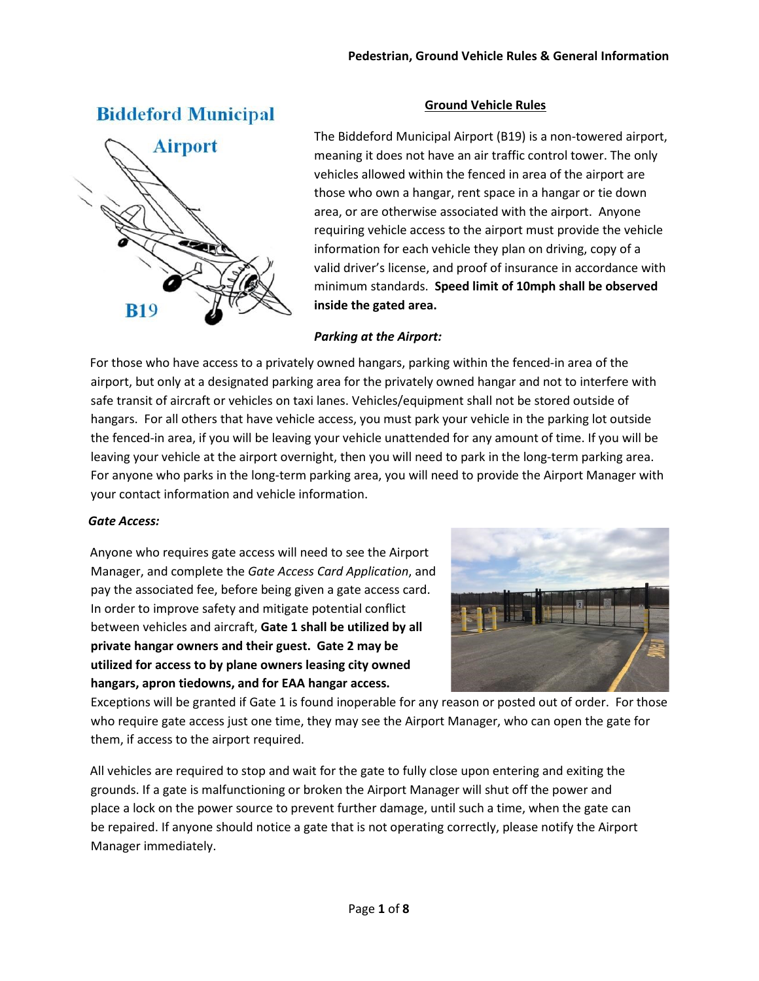# **Biddeford Municipal**



## **Ground Vehicle Rules**

The Biddeford Municipal Airport (B19) is a non-towered airport, meaning it does not have an air traffic control tower. The only vehicles allowed within the fenced in area of the airport are those who own a hangar, rent space in a hangar or tie down area, or are otherwise associated with the airport. Anyone requiring vehicle access to the airport must provide the vehicle information for each vehicle they plan on driving, copy of a valid driver's license, and proof of insurance in accordance with minimum standards. **Speed limit of 10mph shall be observed inside the gated area.**

## *Parking at the Airport:*

For those who have access to a privately owned hangars, parking within the fenced-in area of the airport, but only at a designated parking area for the privately owned hangar and not to interfere with safe transit of aircraft or vehicles on taxi lanes. Vehicles/equipment shall not be stored outside of hangars. For all others that have vehicle access, you must park your vehicle in the parking lot outside the fenced-in area, if you will be leaving your vehicle unattended for any amount of time. If you will be leaving your vehicle at the airport overnight, then you will need to park in the long-term parking area. For anyone who parks in the long-term parking area, you will need to provide the Airport Manager with your contact information and vehicle information.

## *Gate Access:*

Anyone who requires gate access will need to see the Airport Manager, and complete the *Gate Access Card Application*, and pay the associated fee, before being given a gate access card. In order to improve safety and mitigate potential conflict between vehicles and aircraft, **Gate 1 shall be utilized by all private hangar owners and their guest. Gate 2 may be utilized for access to by plane owners leasing city owned hangars, apron tiedowns, and for EAA hangar access.**



Exceptions will be granted if Gate 1 is found inoperable for any reason or posted out of order. For those who require gate access just one time, they may see the Airport Manager, who can open the gate for them, if access to the airport required.

All vehicles are required to stop and wait for the gate to fully close upon entering and exiting the grounds. If a gate is malfunctioning or broken the Airport Manager will shut off the power and place a lock on the power source to prevent further damage, until such a time, when the gate can be repaired. If anyone should notice a gate that is not operating correctly, please notify the Airport Manager immediately.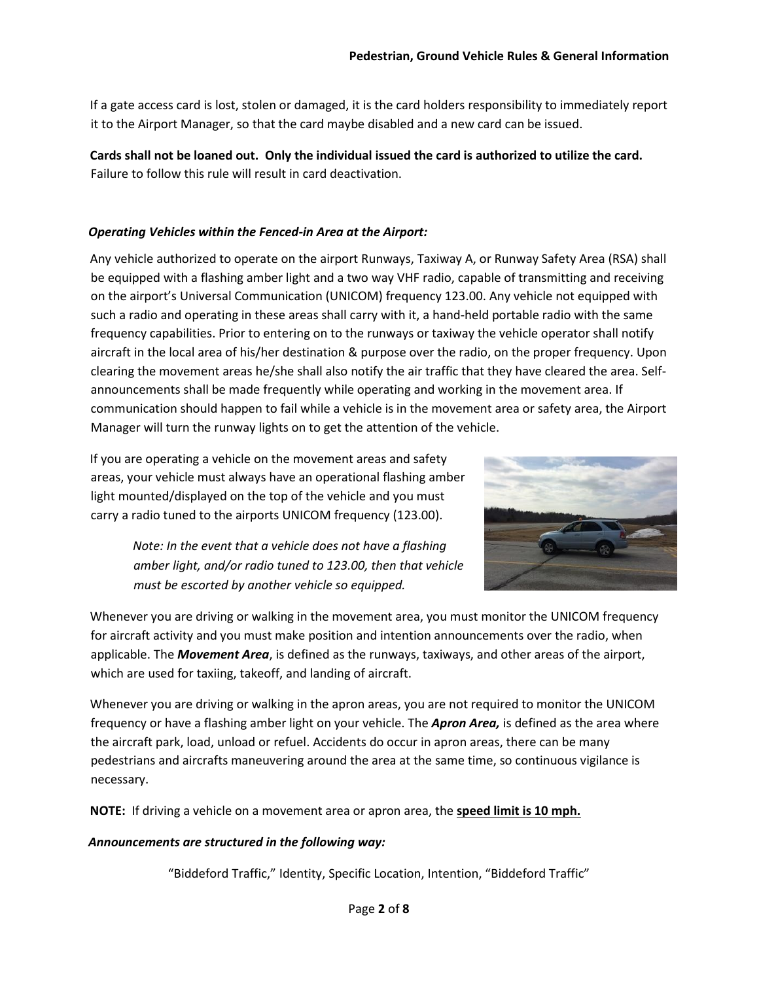If a gate access card is lost, stolen or damaged, it is the card holders responsibility to immediately report it to the Airport Manager, so that the card maybe disabled and a new card can be issued.

**Cards shall not be loaned out. Only the individual issued the card is authorized to utilize the card.** Failure to follow this rule will result in card deactivation.

## *Operating Vehicles within the Fenced-in Area at the Airport:*

Any vehicle authorized to operate on the airport Runways, Taxiway A, or Runway Safety Area (RSA) shall be equipped with a flashing amber light and a two way VHF radio, capable of transmitting and receiving on the airport's Universal Communication (UNICOM) frequency 123.00. Any vehicle not equipped with such a radio and operating in these areas shall carry with it, a hand-held portable radio with the same frequency capabilities. Prior to entering on to the runways or taxiway the vehicle operator shall notify aircraft in the local area of his/her destination & purpose over the radio, on the proper frequency. Upon clearing the movement areas he/she shall also notify the air traffic that they have cleared the area. Selfannouncements shall be made frequently while operating and working in the movement area. If communication should happen to fail while a vehicle is in the movement area or safety area, the Airport Manager will turn the runway lights on to get the attention of the vehicle.

If you are operating a vehicle on the movement areas and safety areas, your vehicle must always have an operational flashing amber light mounted/displayed on the top of the vehicle and you must carry a radio tuned to the airports UNICOM frequency (123.00).



*Note: In the event that a vehicle does not have a flashing amber light, and/or radio tuned to 123.00, then that vehicle must be escorted by another vehicle so equipped.* 

Whenever you are driving or walking in the movement area, you must monitor the UNICOM frequency for aircraft activity and you must make position and intention announcements over the radio, when applicable. The *Movement Area*, is defined as the runways, taxiways, and other areas of the airport, which are used for taxiing, takeoff, and landing of aircraft.

Whenever you are driving or walking in the apron areas, you are not required to monitor the UNICOM frequency or have a flashing amber light on your vehicle. The *Apron Area,* is defined as the area where the aircraft park, load, unload or refuel. Accidents do occur in apron areas, there can be many pedestrians and aircrafts maneuvering around the area at the same time, so continuous vigilance is necessary.

**NOTE:** If driving a vehicle on a movement area or apron area, the **speed limit is 10 mph.**

## *Announcements are structured in the following way:*

"Biddeford Traffic," Identity, Specific Location, Intention, "Biddeford Traffic"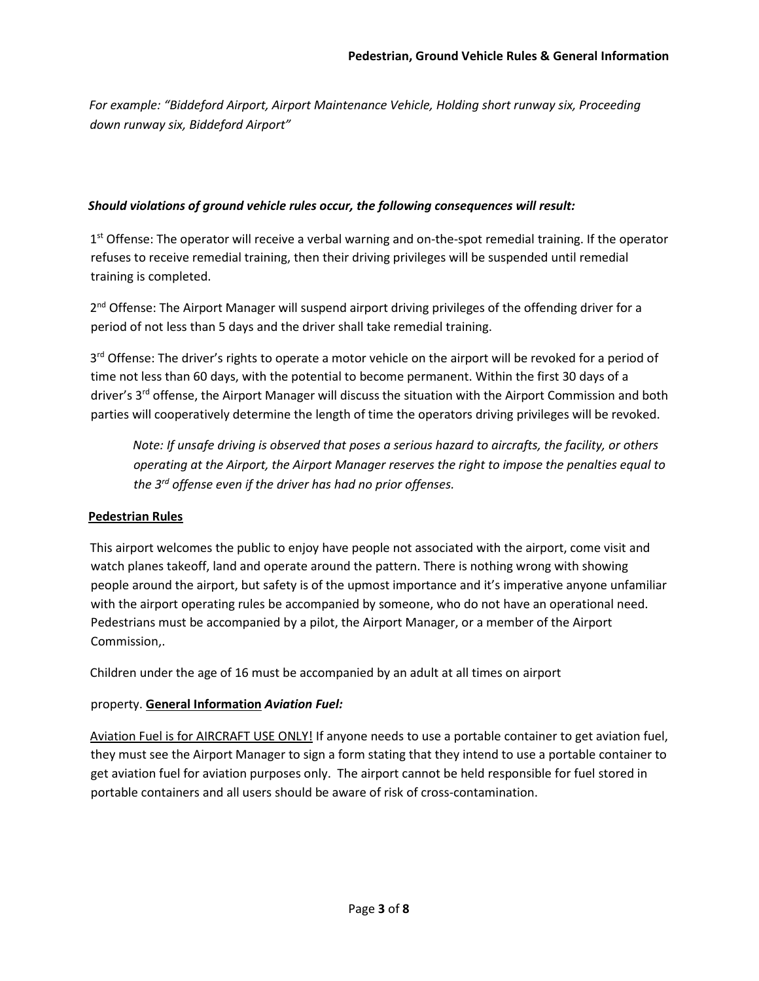*For example: "Biddeford Airport, Airport Maintenance Vehicle, Holding short runway six, Proceeding down runway six, Biddeford Airport"* 

### *Should violations of ground vehicle rules occur, the following consequences will result:*

1<sup>st</sup> Offense: The operator will receive a verbal warning and on-the-spot remedial training. If the operator refuses to receive remedial training, then their driving privileges will be suspended until remedial training is completed.

2<sup>nd</sup> Offense: The Airport Manager will suspend airport driving privileges of the offending driver for a period of not less than 5 days and the driver shall take remedial training.

3<sup>rd</sup> Offense: The driver's rights to operate a motor vehicle on the airport will be revoked for a period of time not less than 60 days, with the potential to become permanent. Within the first 30 days of a driver's 3<sup>rd</sup> offense, the Airport Manager will discuss the situation with the Airport Commission and both parties will cooperatively determine the length of time the operators driving privileges will be revoked.

*Note: If unsafe driving is observed that poses a serious hazard to aircrafts, the facility, or others operating at the Airport, the Airport Manager reserves the right to impose the penalties equal to the 3rd offense even if the driver has had no prior offenses.* 

## **Pedestrian Rules**

This airport welcomes the public to enjoy have people not associated with the airport, come visit and watch planes takeoff, land and operate around the pattern. There is nothing wrong with showing people around the airport, but safety is of the upmost importance and it's imperative anyone unfamiliar with the airport operating rules be accompanied by someone, who do not have an operational need. Pedestrians must be accompanied by a pilot, the Airport Manager, or a member of the Airport Commission,.

Children under the age of 16 must be accompanied by an adult at all times on airport

## property. **General Information** *Aviation Fuel:*

Aviation Fuel is for AIRCRAFT USE ONLY! If anyone needs to use a portable container to get aviation fuel, they must see the Airport Manager to sign a form stating that they intend to use a portable container to get aviation fuel for aviation purposes only. The airport cannot be held responsible for fuel stored in portable containers and all users should be aware of risk of cross-contamination.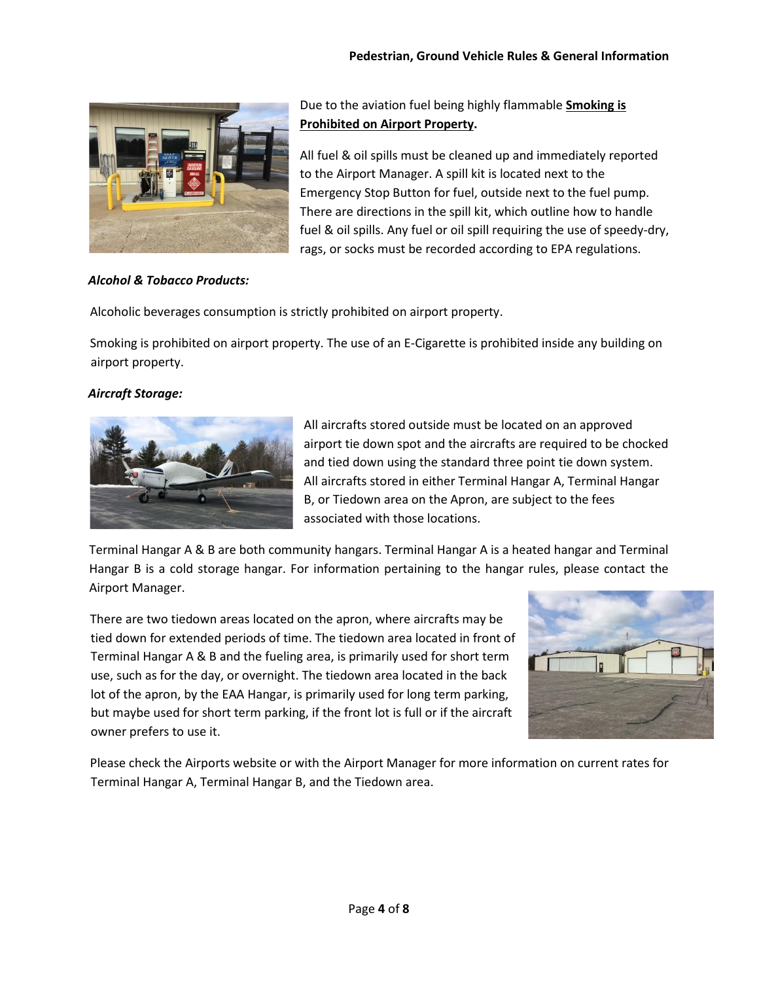

Due to the aviation fuel being highly flammable **Smoking is Prohibited on Airport Property.** 

All fuel & oil spills must be cleaned up and immediately reported to the Airport Manager. A spill kit is located next to the Emergency Stop Button for fuel, outside next to the fuel pump. There are directions in the spill kit, which outline how to handle fuel & oil spills. Any fuel or oil spill requiring the use of speedy-dry, rags, or socks must be recorded according to EPA regulations.

## *Alcohol & Tobacco Products:*

Alcoholic beverages consumption is strictly prohibited on airport property.

Smoking is prohibited on airport property. The use of an E-Cigarette is prohibited inside any building on airport property.

## *Aircraft Storage:*



All aircrafts stored outside must be located on an approved airport tie down spot and the aircrafts are required to be chocked and tied down using the standard three point tie down system. All aircrafts stored in either Terminal Hangar A, Terminal Hangar B, or Tiedown area on the Apron, are subject to the fees associated with those locations.

Terminal Hangar A & B are both community hangars. Terminal Hangar A is a heated hangar and Terminal Hangar B is a cold storage hangar. For information pertaining to the hangar rules, please contact the Airport Manager.

There are two tiedown areas located on the apron, where aircrafts may be tied down for extended periods of time. The tiedown area located in front of Terminal Hangar A & B and the fueling area, is primarily used for short term use, such as for the day, or overnight. The tiedown area located in the back lot of the apron, by the EAA Hangar, is primarily used for long term parking, but maybe used for short term parking, if the front lot is full or if the aircraft owner prefers to use it.



Please check the Airports website or with the Airport Manager for more information on current rates for Terminal Hangar A, Terminal Hangar B, and the Tiedown area.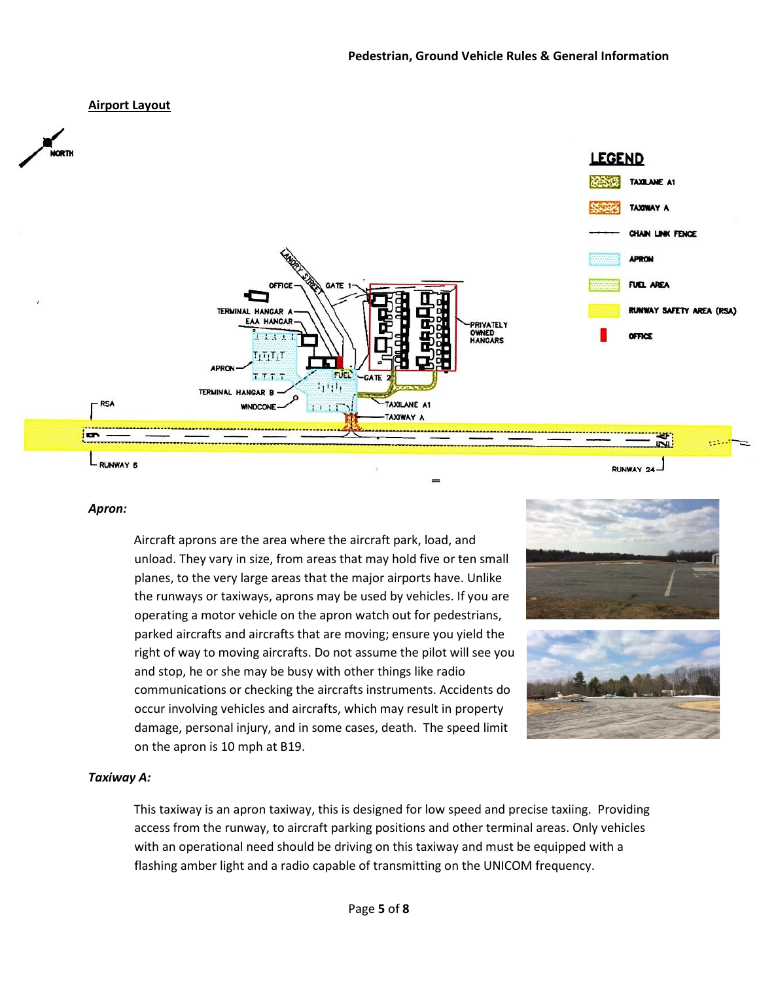### **Airport Layout**



#### *Apron:*

Aircraft aprons are the area where the aircraft park, load, and unload. They vary in size, from areas that may hold five or ten small planes, to the very large areas that the major airports have. Unlike the runways or taxiways, aprons may be used by vehicles. If you are operating a motor vehicle on the apron watch out for pedestrians, parked aircrafts and aircrafts that are moving; ensure you yield the right of way to moving aircrafts. Do not assume the pilot will see you and stop, he or she may be busy with other things like radio communications or checking the aircrafts instruments. Accidents do occur involving vehicles and aircrafts, which may result in property damage, personal injury, and in some cases, death. The speed limit on the apron is 10 mph at B19.





#### *Taxiway A:*

This taxiway is an apron taxiway, this is designed for low speed and precise taxiing. Providing access from the runway, to aircraft parking positions and other terminal areas. Only vehicles with an operational need should be driving on this taxiway and must be equipped with a flashing amber light and a radio capable of transmitting on the UNICOM frequency.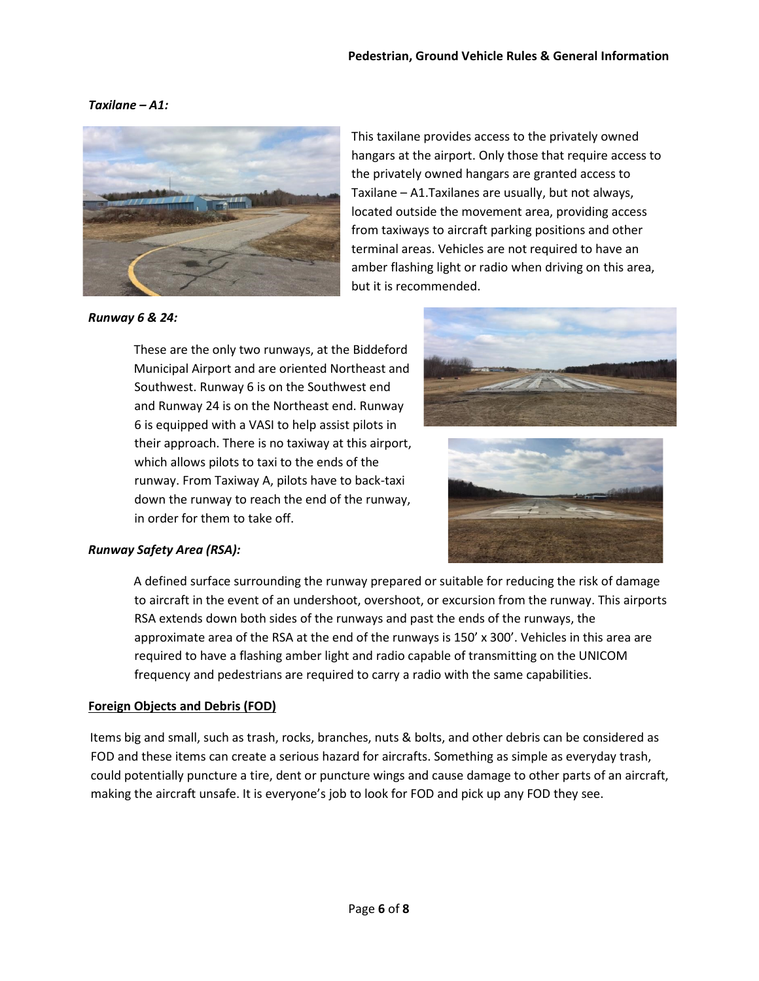## *Taxilane – A1:*



This taxilane provides access to the privately owned hangars at the airport. Only those that require access to the privately owned hangars are granted access to Taxilane – A1.Taxilanes are usually, but not always, located outside the movement area, providing access from taxiways to aircraft parking positions and other terminal areas. Vehicles are not required to have an amber flashing light or radio when driving on this area, but it is recommended.

*Runway 6 & 24:* 

These are the only two runways, at the Biddeford Municipal Airport and are oriented Northeast and Southwest. Runway 6 is on the Southwest end and Runway 24 is on the Northeast end. Runway 6 is equipped with a VASI to help assist pilots in their approach. There is no taxiway at this airport, which allows pilots to taxi to the ends of the runway. From Taxiway A, pilots have to back-taxi down the runway to reach the end of the runway, in order for them to take off.





## *Runway Safety Area (RSA):*

A defined surface surrounding the runway prepared or suitable for reducing the risk of damage to aircraft in the event of an undershoot, overshoot, or excursion from the runway. This airports RSA extends down both sides of the runways and past the ends of the runways, the approximate area of the RSA at the end of the runways is 150' x 300'. Vehicles in this area are required to have a flashing amber light and radio capable of transmitting on the UNICOM frequency and pedestrians are required to carry a radio with the same capabilities.

### **Foreign Objects and Debris (FOD)**

Items big and small, such as trash, rocks, branches, nuts & bolts, and other debris can be considered as FOD and these items can create a serious hazard for aircrafts. Something as simple as everyday trash, could potentially puncture a tire, dent or puncture wings and cause damage to other parts of an aircraft, making the aircraft unsafe. It is everyone's job to look for FOD and pick up any FOD they see.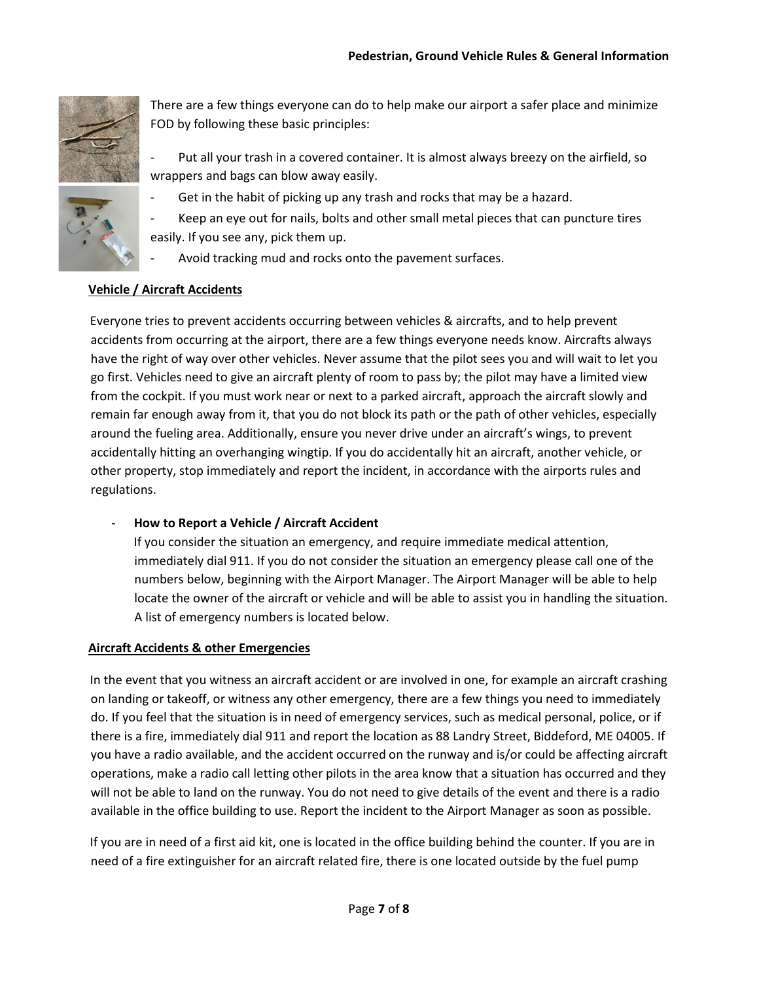

There are a few things everyone can do to help make our airport a safer place and minimize FOD by following these basic principles:

Put all your trash in a covered container. It is almost always breezy on the airfield, so wrappers and bags can blow away easily.

Get in the habit of picking up any trash and rocks that may be a hazard.



Avoid tracking mud and rocks onto the pavement surfaces.

## **Vehicle / Aircraft Accidents**

Everyone tries to prevent accidents occurring between vehicles & aircrafts, and to help prevent accidents from occurring at the airport, there are a few things everyone needs know. Aircrafts always have the right of way over other vehicles. Never assume that the pilot sees you and will wait to let you go first. Vehicles need to give an aircraft plenty of room to pass by; the pilot may have a limited view from the cockpit. If you must work near or next to a parked aircraft, approach the aircraft slowly and remain far enough away from it, that you do not block its path or the path of other vehicles, especially around the fueling area. Additionally, ensure you never drive under an aircraft's wings, to prevent accidentally hitting an overhanging wingtip. If you do accidentally hit an aircraft, another vehicle, or other property, stop immediately and report the incident, in accordance with the airports rules and regulations.

## - **How to Report a Vehicle / Aircraft Accident**

If you consider the situation an emergency, and require immediate medical attention, immediately dial 911. If you do not consider the situation an emergency please call one of the numbers below, beginning with the Airport Manager. The Airport Manager will be able to help locate the owner of the aircraft or vehicle and will be able to assist you in handling the situation. A list of emergency numbers is located below.

## **Aircraft Accidents & other Emergencies**

In the event that you witness an aircraft accident or are involved in one, for example an aircraft crashing on landing or takeoff, or witness any other emergency, there are a few things you need to immediately do. If you feel that the situation is in need of emergency services, such as medical personal, police, or if there is a fire, immediately dial 911 and report the location as 88 Landry Street, Biddeford, ME 04005. If you have a radio available, and the accident occurred on the runway and is/or could be affecting aircraft operations, make a radio call letting other pilots in the area know that a situation has occurred and they will not be able to land on the runway. You do not need to give details of the event and there is a radio available in the office building to use. Report the incident to the Airport Manager as soon as possible.

If you are in need of a first aid kit, one is located in the office building behind the counter. If you are in need of a fire extinguisher for an aircraft related fire, there is one located outside by the fuel pump